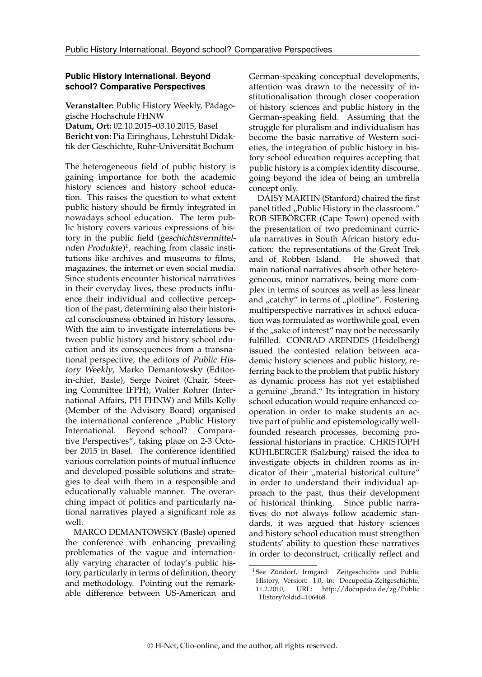# **Public History International. Beyond school? Comparative Perspectives**

**Veranstalter:** Public History Weekly, Pädagogische Hochschule FHNW **Datum, Ort:** 02.10.2015–03.10.2015, Basel **Bericht von:** Pia Eiringhaus, Lehrstuhl Didaktik der Geschichte, Ruhr-Universität Bochum

The heterogeneous field of public history is gaining importance for both the academic history sciences and history school education. This raises the question to what extent public history should be firmly integrated in nowadays school education. The term public history covers various expressions of history in the public field (geschichtsvermittel-nden Produkte)<sup>[1](#page-0-0)</sup>, reaching from classic institutions like archives and museums to films, magazines, the internet or even social media. Since students encounter historical narratives in their everyday lives, these products influence their individual and collective perception of the past, determining also their historical consciousness obtained in history lessons. With the aim to investigate interrelations between public history and history school education and its consequences from a transnational perspective, the editors of Public History Weekly, Marko Demantowsky (Editorin-chief, Basle), Serge Noiret (Chair, Steering Committee IFPH), Walter Rohrer (International Affairs, PH FHNW) and Mills Kelly (Member of the Advisory Board) organised the international conference "Public History International. Beyond school? Comparative Perspectives", taking place on 2-3 October 2015 in Basel. The conference identified various correlation points of mutual influence and developed possible solutions and strategies to deal with them in a responsible and educationally valuable manner. The overarching impact of politics and particularly national narratives played a significant role as well.

MARCO DEMANTOWSKY (Basle) opened the conference with enhancing prevailing problematics of the vague and internationally varying character of today's public history, particularly in terms of definition, theory and methodology. Pointing out the remarkable difference between US-American and German-speaking conceptual developments, attention was drawn to the necessity of institutionalisation through closer cooperation of history sciences and public history in the German-speaking field. Assuming that the struggle for pluralism and individualism has become the basic narrative of Western societies, the integration of public history in history school education requires accepting that public history is a complex identity discourse, going beyond the idea of being an umbrella concept only.

DAISY MARTIN (Stanford) chaired the first panel titled "Public History in the classroom." ROB SIEBÖRGER (Cape Town) opened with the presentation of two predominant curricula narratives in South African history education: the representations of the Great Trek and of Robben Island. He showed that main national narratives absorb other heterogeneous, minor narratives, being more complex in terms of sources as well as less linear and "catchy" in terms of "plotline". Fostering multiperspective narratives in school education was formulated as worthwhile goal, even if the "sake of interest" may not be necessarily fulfilled. CONRAD ARENDES (Heidelberg) issued the contested relation between academic history sciences and public history, referring back to the problem that public history as dynamic process has not yet established a genuine "brand." Its integration in history school education would require enhanced cooperation in order to make students an active part of public and epistemologically wellfounded research processes, becoming professional historians in practice. CHRISTOPH KÜHLBERGER (Salzburg) raised the idea to investigate objects in children rooms as indicator of their "material historical culture" in order to understand their individual approach to the past, thus their development of historical thinking. Since public narratives do not always follow academic standards, it was argued that history sciences and history school education must strengthen students' ability to question these narratives in order to deconstruct, critically reflect and

<span id="page-0-0"></span><sup>&</sup>lt;sup>1</sup> See Zündorf, Irmgard: Zeitgeschichte und Public History, Version: 1.0, in: Docupedia-Zeitgeschichte, 11.2.2010, URL: [http://docupedia.de/zg/Public](http://docupedia.de/zg/Public_History?oldid=106468) [\\_History?oldid=106468.](http://docupedia.de/zg/Public_History?oldid=106468)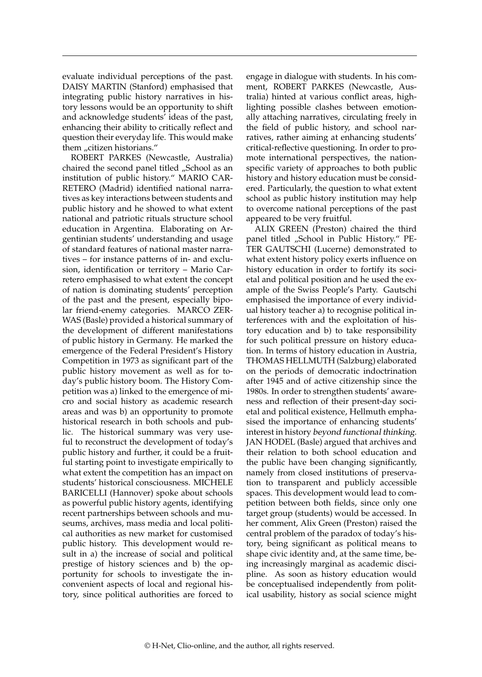evaluate individual perceptions of the past. DAISY MARTIN (Stanford) emphasised that integrating public history narratives in history lessons would be an opportunity to shift and acknowledge students' ideas of the past, enhancing their ability to critically reflect and question their everyday life. This would make them "citizen historians."

ROBERT PARKES (Newcastle, Australia) chaired the second panel titled "School as an institution of public history." MARIO CAR-RETERO (Madrid) identified national narratives as key interactions between students and public history and he showed to what extent national and patriotic rituals structure school education in Argentina. Elaborating on Argentinian students' understanding and usage of standard features of national master narratives – for instance patterns of in- and exclusion, identification or territory – Mario Carretero emphasised to what extent the concept of nation is dominating students' perception of the past and the present, especially bipolar friend-enemy categories. MARCO ZER-WAS (Basle) provided a historical summary of the development of different manifestations of public history in Germany. He marked the emergence of the Federal President's History Competition in 1973 as significant part of the public history movement as well as for today's public history boom. The History Competition was a) linked to the emergence of micro and social history as academic research areas and was b) an opportunity to promote historical research in both schools and public. The historical summary was very useful to reconstruct the development of today's public history and further, it could be a fruitful starting point to investigate empirically to what extent the competition has an impact on students' historical consciousness. MICHELE BARICELLI (Hannover) spoke about schools as powerful public history agents, identifying recent partnerships between schools and museums, archives, mass media and local political authorities as new market for customised public history. This development would result in a) the increase of social and political prestige of history sciences and b) the opportunity for schools to investigate the inconvenient aspects of local and regional history, since political authorities are forced to

engage in dialogue with students. In his comment, ROBERT PARKES (Newcastle, Australia) hinted at various conflict areas, highlighting possible clashes between emotionally attaching narratives, circulating freely in the field of public history, and school narratives, rather aiming at enhancing students' critical-reflective questioning. In order to promote international perspectives, the nationspecific variety of approaches to both public history and history education must be considered. Particularly, the question to what extent school as public history institution may help to overcome national perceptions of the past appeared to be very fruitful.

ALIX GREEN (Preston) chaired the third panel titled "School in Public History." PE-TER GAUTSCHI (Lucerne) demonstrated to what extent history policy exerts influence on history education in order to fortify its societal and political position and he used the example of the Swiss People's Party. Gautschi emphasised the importance of every individual history teacher a) to recognise political interferences with and the exploitation of history education and b) to take responsibility for such political pressure on history education. In terms of history education in Austria, THOMAS HELLMUTH (Salzburg) elaborated on the periods of democratic indoctrination after 1945 and of active citizenship since the 1980s. In order to strengthen students' awareness and reflection of their present-day societal and political existence, Hellmuth emphasised the importance of enhancing students' interest in history beyond functional thinking. JAN HODEL (Basle) argued that archives and their relation to both school education and the public have been changing significantly, namely from closed institutions of preservation to transparent and publicly accessible spaces. This development would lead to competition between both fields, since only one target group (students) would be accessed. In her comment, Alix Green (Preston) raised the central problem of the paradox of today's history, being significant as political means to shape civic identity and, at the same time, being increasingly marginal as academic discipline. As soon as history education would be conceptualised independently from political usability, history as social science might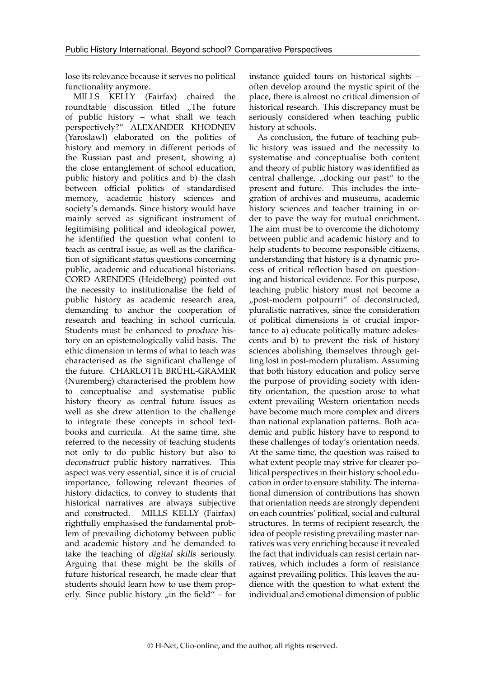lose its relevance because it serves no political functionality anymore.

MILLS KELLY (Fairfax) chaired the roundtable discussion titled "The future of public history – what shall we teach perspectively?" ALEXANDER KHODNEV (Yaroslawl) elaborated on the politics of history and memory in different periods of the Russian past and present, showing a) the close entanglement of school education, public history and politics and b) the clash between official politics of standardised memory, academic history sciences and society's demands. Since history would have mainly served as significant instrument of legitimising political and ideological power, he identified the question what content to teach as central issue, as well as the clarification of significant status questions concerning public, academic and educational historians. CORD ARENDES (Heidelberg) pointed out the necessity to institutionalise the field of public history as academic research area, demanding to anchor the cooperation of research and teaching in school curricula. Students must be enhanced to produce history on an epistemologically valid basis. The ethic dimension in terms of what to teach was characterised as the significant challenge of the future. CHARLOTTE BRÜHL-GRAMER (Nuremberg) characterised the problem how to conceptualise and systematise public history theory as central future issues as well as she drew attention to the challenge to integrate these concepts in school textbooks and curricula. At the same time, she referred to the necessity of teaching students not only to do public history but also to deconstruct public history narratives. This aspect was very essential, since it is of crucial importance, following relevant theories of history didactics, to convey to students that historical narratives are always subjective and constructed. MILLS KELLY (Fairfax) rightfully emphasised the fundamental problem of prevailing dichotomy between public and academic history and he demanded to take the teaching of digital skills seriously. Arguing that these might be the skills of future historical research, he made clear that students should learn how to use them properly. Since public history  $\mu$  in the field" – for

instance guided tours on historical sights – often develop around the mystic spirit of the place, there is almost no critical dimension of historical research. This discrepancy must be seriously considered when teaching public history at schools.

As conclusion, the future of teaching public history was issued and the necessity to systematise and conceptualise both content and theory of public history was identified as central challenge, "docking our past" to the present and future. This includes the integration of archives and museums, academic history sciences and teacher training in order to pave the way for mutual enrichment. The aim must be to overcome the dichotomy between public and academic history and to help students to become responsible citizens, understanding that history is a dynamic process of critical reflection based on questioning and historical evidence. For this purpose, teaching public history must not become a "post-modern potpourri" of deconstructed, pluralistic narratives, since the consideration of political dimensions is of crucial importance to a) educate politically mature adolescents and b) to prevent the risk of history sciences abolishing themselves through getting lost in post-modern pluralism. Assuming that both history education and policy serve the purpose of providing society with identity orientation, the question arose to what extent prevailing Western orientation needs have become much more complex and divers than national explanation patterns. Both academic and public history have to respond to these challenges of today's orientation needs. At the same time, the question was raised to what extent people may strive for clearer political perspectives in their history school education in order to ensure stability. The international dimension of contributions has shown that orientation needs are strongly dependent on each countries' political, social and cultural structures. In terms of recipient research, the idea of people resisting prevailing master narratives was very enriching because it revealed the fact that individuals can resist certain narratives, which includes a form of resistance against prevailing politics. This leaves the audience with the question to what extent the individual and emotional dimension of public